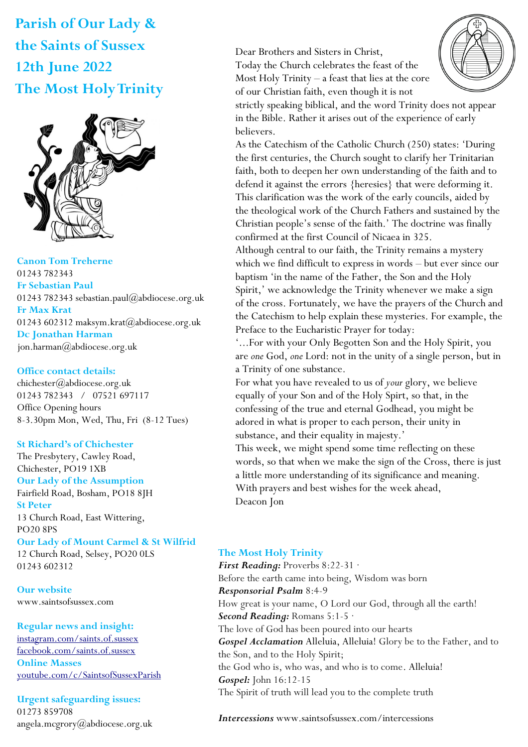**Parish of Our Lady & the Saints of Sussex 12th June 2022 The Most Holy Trinity**



**Canon Tom Treherne**  01243 782343 **Fr Sebastian Paul**  01243 782343 sebastian.paul@abdiocese.org.uk **Fr Max Krat**  01243 602312 maksym.krat@abdiocese.org.uk **Dc Jonathan Harman**  [jon.harman@abdiocese.org.uk](mailto:jon.harman@abdiocese.org.uk)

### **Office contact details:**

chichester@abdiocese.org.uk 01243 782343 / 07521 697117 Office Opening hours 8-3.30pm Mon, Wed, Thu, Fri (8-12 Tues)

### **St Richard's of Chichester**

The Presbytery, Cawley Road, Chichester, PO19 1XB **Our Lady of the Assumption**  Fairfield Road, Bosham, PO18 8JH **St Peter**  13 Church Road, East Wittering, PO20 8PS **Our Lady of Mount Carmel & St Wilfrid** 12 Church Road, Selsey, PO20 0LS 01243 602312

**Our website**  www.saintsofsussex.com

#### **Regular news and insight:**

[instagram.com/saints.of.sussex](https://instagram.com/saints.of.sussex) [facebook.com/saints.of.sussex](https://facebook.com/saints.of.sussex) **Online Masses**  <youtube.com/c/SaintsofSussexParish>

**Urgent safeguarding issues:**  01273 859708 angela.mcgrory@abdiocese.org.uk Dear Brothers and Sisters in Christ,

Today the Church celebrates the feast of the Most Holy Trinity – a feast that lies at the core of our Christian faith, even though it is not



strictly speaking biblical, and the word Trinity does not appear in the Bible. Rather it arises out of the experience of early believers.

As the Catechism of the Catholic Church (250) states: 'During the first centuries, the Church sought to clarify her Trinitarian faith, both to deepen her own understanding of the faith and to defend it against the errors {heresies} that were deforming it. This clarification was the work of the early councils, aided by the theological work of the Church Fathers and sustained by the Christian people's sense of the faith.' The doctrine was finally confirmed at the first Council of Nicaea in 325.

Although central to our faith, the Trinity remains a mystery which we find difficult to express in words – but ever since our baptism 'in the name of the Father, the Son and the Holy Spirit,' we acknowledge the Trinity whenever we make a sign of the cross. Fortunately, we have the prayers of the Church and the Catechism to help explain these mysteries. For example, the Preface to the Eucharistic Prayer for today:

'...For with your Only Begotten Son and the Holy Spirit, you are *one* God, *one* Lord: not in the unity of a single person, but in a Trinity of one substance.

For what you have revealed to us of *your* glory, we believe equally of your Son and of the Holy Spirt, so that, in the confessing of the true and eternal Godhead, you might be adored in what is proper to each person, their unity in substance, and their equality in majesty.'

This week, we might spend some time reflecting on these words, so that when we make the sign of the Cross, there is just a little more understanding of its significance and meaning. With prayers and best wishes for the week ahead, Deacon Jon

### **The Most Holy Trinity**

*First Reading:* Proverbs 8:22-31 · Before the earth came into being, Wisdom was born *Responsorial Psalm* 8:4-9 How great is your name, O Lord our God, through all the earth! *Second Reading:* Romans 5:1-5 · The love of God has been poured into our hearts *Gospel Acclamation* Alleluia, Alleluia! Glory be to the Father, and to the Son, and to the Holy Spirit; the God who is, who was, and who is to come. Alleluia! *Gospel:* John 16:12-15 The Spirit of truth will lead you to the complete truth

*Intercessions* www.saintsofsussex.com/intercessions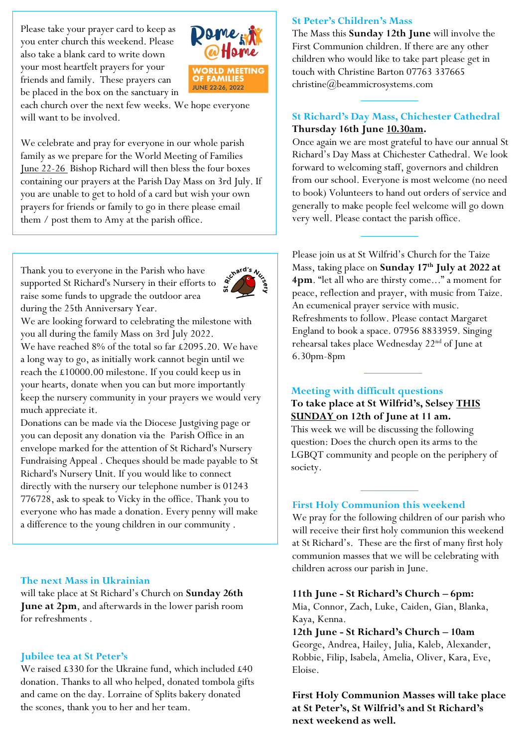Please take your prayer card to keep as you enter church this weekend. Please also take a blank card to write down your most heartfelt prayers for your friends and family. These prayers can be placed in the box on the sanctuary in



each church over the next few weeks. We hope everyone will want to be involved.

We celebrate and pray for everyone in our whole parish family as we prepare for the World Meeting of Families June 22-26 Bishop Richard will then bless the four boxes containing our prayers at the Parish Day Mass on 3rd July. If you are unable to get to hold of a card but wish your own prayers for friends or family to go in there please email them / post them to Amy at the parish office.

Thank you to everyone in the Parish who have supported St Richard's Nursery in their efforts to raise some funds to upgrade the outdoor area during the 25th Anniversary Year.



We are looking forward to celebrating the milestone with you all during the family Mass on 3rd July 2022.

We have reached 8% of the total so far £2095.20. We have a long way to go, as initially work cannot begin until we reach the £10000.00 milestone. If you could keep us in your hearts, donate when you can but more importantly keep the nursery community in your prayers we would very much appreciate it.

Donations can be made via the Diocese Justgiving page or you can deposit any donation via the Parish Office in an envelope marked for the attention of St Richard's Nursery Fundraising Appeal . Cheques should be made payable to St Richard's Nursery Unit. If you would like to connect directly with the nursery our telephone number is 01243 776728, ask to speak to Vicky in the office. Thank you to everyone who has made a donation. Every penny will make a difference to the young children in our community .

### **The next Mass in Ukrainian**

will take place at St Richard's Church on **Sunday 26th June at 2pm**, and afterwards in the lower parish room for refreshments .

## **Jubilee tea at St Peter's**

We raised £330 for the Ukraine fund, which included £40 donation. Thanks to all who helped, donated tombola gifts and came on the day. Lorraine of Splits bakery donated the scones, thank you to her and her team.

### **St Peter's Children's Mass**

The Mass this **Sunday 12th June** will involve the First Communion children. If there are any other children who would like to take part please get in touch with Christine Barton 07763 [337665](mailto:337665/christine@beammicrosystems.com)  [christine@beammicrosystems.com](mailto:337665/christine@beammicrosystems.com)

# **St Richard's Day Mass, Chichester Cathedral Thursday 16th June 10.30am.**

Once again we are most grateful to have our annual St Richard's Day Mass at Chichester Cathedral. We look forward to welcoming staff, governors and children from our school. Everyone is most welcome (no need to book) Volunteers to hand out orders of service and generally to make people feel welcome will go down very well. Please contact the parish office.

Please join us at St Wilfrid's Church for the Taize Mass, taking place on **Sunday 17th July at 2022 at 4pm**. "let all who are thirsty come..." a moment for peace, reflection and prayer, with music from Taize. An ecumenical prayer service with music. Refreshments to follow. Please contact Margaret England to book a space. 07956 8833959. Singing rehearsal takes place Wednesday 22nd of June at 6.30pm-8pm

## **Meeting with difficult questions**

# **To take place at St Wilfrid's, Selsey THIS SUNDAY on 12th of June at 11 am.**

This week we will be discussing the following question: Does the church open its arms to the LGBQT community and people on the periphery of society.

### **First Holy Communion this weekend**

We pray for the following children of our parish who will receive their first holy communion this weekend at St Richard's. These are the first of many first holy communion masses that we will be celebrating with children across our parish in June.

### **11th June - St Richard's Church – 6pm:**

Mia, Connor, Zach, Luke, Caiden, Gian, Blanka, Kaya, Kenna.

**12th June - St Richard's Church – 10am** George, Andrea, Hailey, Julia, Kaleb, Alexander, Robbie, Filip, Isabela, Amelia, Oliver, Kara, Eve, Eloise.

**First Holy Communion Masses will take place at St Peter's, St Wilfrid's and St Richard's next weekend as well.**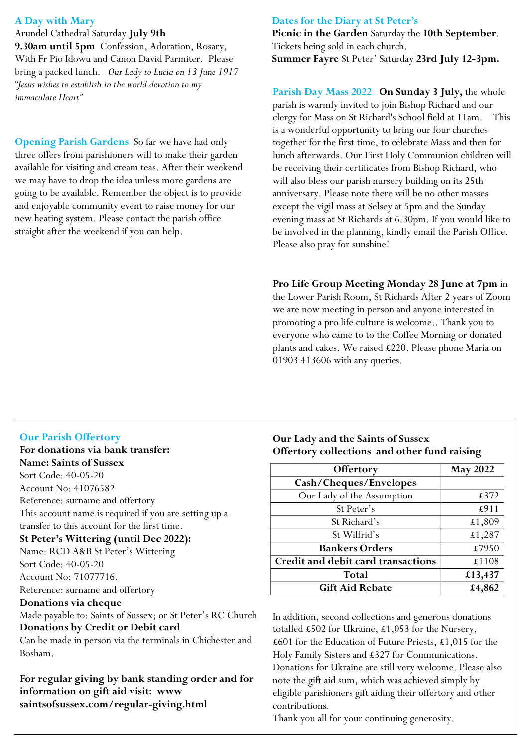## **A Day with Mary**

Arundel Cathedral Saturday **July 9th 9.30am until 5pm** Confession, Adoration, Rosary, With Fr Pio Idowu and Canon David Parmiter. Please bring a packed lunch. *Our Lady to Lucia on 13 June 1917 "Jesus wishes to establish in the world devotion to my immaculate Heart"*

**Opening Parish Gardens** So far we have had only three offers from parishioners will to make their garden available for visiting and cream teas. After their weekend we may have to drop the idea unless more gardens are going to be available. Remember the object is to provide and enjoyable community event to raise money for our new heating system. Please contact the parish office straight after the weekend if you can help.

### **Dates for the Diary at St Peter's**

**Picnic in the Garden** Saturday the **10th September**. Tickets being sold in each church. **Summer Fayre** St Peter' Saturday **23rd July 12-3pm.** 

**Parish Day Mass 2022 On Sunday 3 July,** the whole parish is warmly invited to join Bishop Richard and our clergy for Mass on St Richard's School field at 11am. This is a wonderful opportunity to bring our four churches together for the first time, to celebrate Mass and then for lunch afterwards. Our First Holy Communion children will be receiving their certificates from Bishop Richard, who will also bless our parish nursery building on its 25th anniversary. Please note there will be no other masses except the vigil mass at Selsey at 5pm and the Sunday evening mass at St Richards at 6.30pm. If you would like to be involved in the planning, kindly email the Parish Office. Please also pray for sunshine!

### **Pro Life Group Meeting Monday 28 June at 7pm** in

the Lower Parish Room, St Richards After 2 years of Zoom we are now meeting in person and anyone interested in promoting a pro life culture is welcome.. Thank you to everyone who came to to the Coffee Morning or donated plants and cakes. We raised £220. Please phone Maria on 01903 413606 with any queries.

### **Our Parish Offertory**

**For donations via bank transfer: Name: Saints of Sussex** Sort Code: 40-05-20 Account No: 41076582 Reference: surname and offertory This account name is required if you are setting up a transfer to this account for the first time. **St Peter's Wittering (until Dec 2022):** Name: RCD A&B St Peter's Wittering Sort Code: 40-05-20 Account No: 71077716. Reference: surname and offertory **Donations via cheque** Made payable to: Saints of Sussex; or St Peter's RC Church **Donations by Credit or Debit card**

Can be made in person via the terminals in Chichester and Bosham.

**For regular giving by bank standing order and for information on gift aid visit: www saintsofsussex.com/regular-giving.html**

## **Our Lady and the Saints of Sussex Offertory collections and other fund raising**

| Offertory                          | <b>May 2022</b> |
|------------------------------------|-----------------|
| Cash/Cheques/Envelopes             |                 |
| Our Lady of the Assumption         | £372            |
| St Peter's                         | £911            |
| St Richard's                       | £1,809          |
| St Wilfrid's                       | £1,287          |
| <b>Bankers Orders</b>              | £7950           |
| Credit and debit card transactions | £1108           |
| Total                              | £13,437         |
| <b>Gift Aid Rebate</b>             | £4,862          |

In addition, second collections and generous donations totalled £502 for Ukraine, £1,053 for the Nursery, £601 for the Education of Future Priests, £1,015 for the Holy Family Sisters and £327 for Communications. Donations for Ukraine are still very welcome. Please also note the gift aid sum, which was achieved simply by eligible parishioners gift aiding their offertory and other contributions.

Thank you all for your continuing generosity.